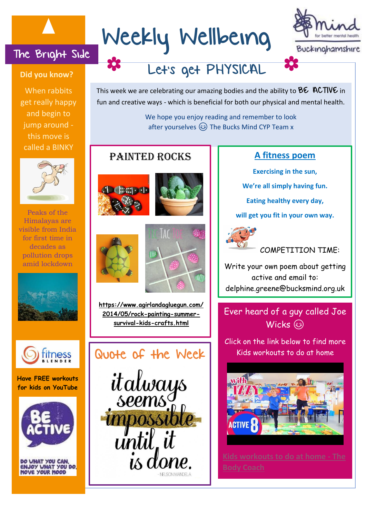# The Bright Side

#### **Did you know?**

When rabbits get really happy and begin to jump around this move is called a BINKY



Peaks of the Himalayas are visible from India for first time in decades as pollution drops amid lockdown





**Have FREE workouts for kids on YouTube**



DO WHAT YOU CAN,<br>ENJOY WHAT YOU DO OVE YOUR MOOD

# Weekly Wellbeing



Let's get PHYSICAL

This week we are celebrating our amazing bodies and the ability to  $\mathsf{B}\varepsilon$  ACTIV $\varepsilon$  in fun and creative ways - which is beneficial for both our physical and mental health.

> We hope you enjoy reading and remember to look after yourselves  $\circled{c}$  The Bucks Mind CYP Team x

# PAINTED ROCKS **A** Fitness poem







**[https://www.agirlandagluegun.com/](https://www.agirlandagluegun.com/2014/05/rock-painting-summer-survival-kids-crafts.html) [2014/05/rock-painting-summer](https://www.agirlandagluegun.com/2014/05/rock-painting-summer-survival-kids-crafts.html)[survival-kids-crafts.html](https://www.agirlandagluegun.com/2014/05/rock-painting-summer-survival-kids-crafts.html)**



**Exercising in the sun, We're all simply having fun.**

**Eating healthy every day,**

**will get you fit in your own way.**





Write your own poem about getting active and email to: delphine.greene@bucksmind.org.uk

Ever heard of a guy called Joe Wicks (8)

Click on the link below to find more Kids workouts to do at home